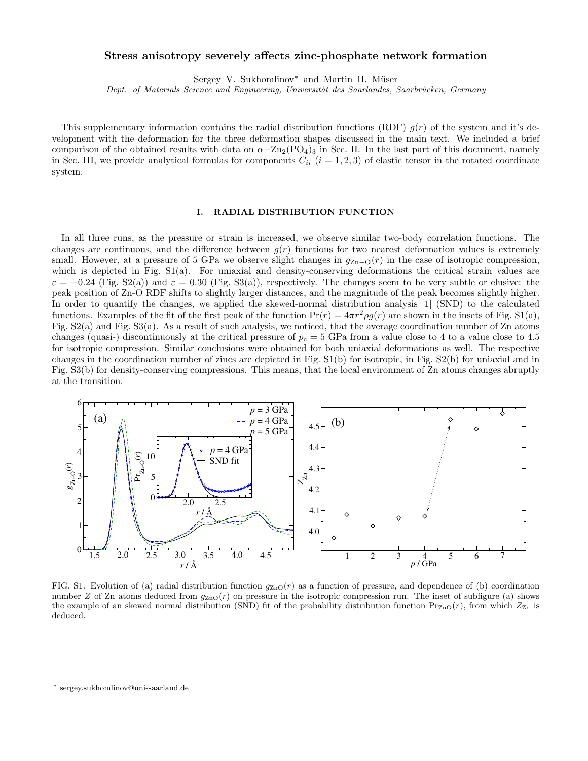## Stress anisotropy severely affects zinc-phosphate network formation

Sergey V. Sukhomlinov<sup>\*</sup> and Martin H. Müser

Dept. of Materials Science and Engineering, Universität des Saarlandes, Saarbrücken, Germany

This supplementary information contains the radial distribution functions (RDF)  $g(r)$  of the system and it's development with the deformation for the three deformation shapes discussed in the main text. We included a brief comparison of the obtained results with data on  $\alpha-\text{Zn}_2(\text{PO}_4)_3$  in Sec. II. In the last part of this document, namely in Sec. III, we provide analytical formulas for components  $C_{ii}$  ( $i = 1, 2, 3$ ) of elastic tensor in the rotated coordinate system.

## I. RADIAL DISTRIBUTION FUNCTION

In all three runs, as the pressure or strain is increased, we observe similar two-body correlation functions. The changes are continuous, and the difference between  $g(r)$  functions for two nearest deformation values is extremely small. However, at a pressure of 5 GPa we observe slight changes in  $g_{Zn-O}(r)$  in the case of isotropic compression, which is depicted in Fig. S1(a). For uniaxial and density-conserving deformations the critical strain values are  $\varepsilon = -0.24$  (Fig. S2(a)) and  $\varepsilon = 0.30$  (Fig. S3(a)), respectively. The changes seem to be very subtle or elusive: the peak position of Zn-O RDF shifts to slightly larger distances, and the magnitude of the peak becomes slightly higher. In order to quantify the changes, we applied the skewed-normal distribution analysis [1] (SND) to the calculated functions. Examples of the fit of the first peak of the function  $Pr(r) = 4\pi r^2 \rho g(r)$  are shown in the insets of Fig. S1(a), Fig. S2(a) and Fig. S3(a). As a result of such analysis, we noticed, that the average coordination number of Zn atoms changes (quasi-) discontinuously at the critical pressure of  $p_c = 5$  GPa from a value close to 4 to a value close to 4.5 for isotropic compression. Similar conclusions were obtained for both uniaxial deformations as well. The respective changes in the coordination number of zincs are depicted in Fig. S1(b) for isotropic, in Fig. S2(b) for uniaxial and in Fig. S3(b) for density-conserving compressions. This means, that the local environment of Zn atoms changes abruptly at the transition.



FIG. S1. Evolution of (a) radial distribution function  $g_{\text{ZnO}}(r)$  as a function of pressure, and dependence of (b) coordination number Z of Zn atoms deduced from  $q_{ZnO}(r)$  on pressure in the isotropic compression run. The inset of subfigure (a) shows the example of an skewed normal distribution (SND) fit of the probability distribution function  $Pr_{ZnO}(r)$ , from which  $Z_{Zn}$  is deduced.

<sup>∗</sup> sergey.sukhomlinov@uni-saarland.de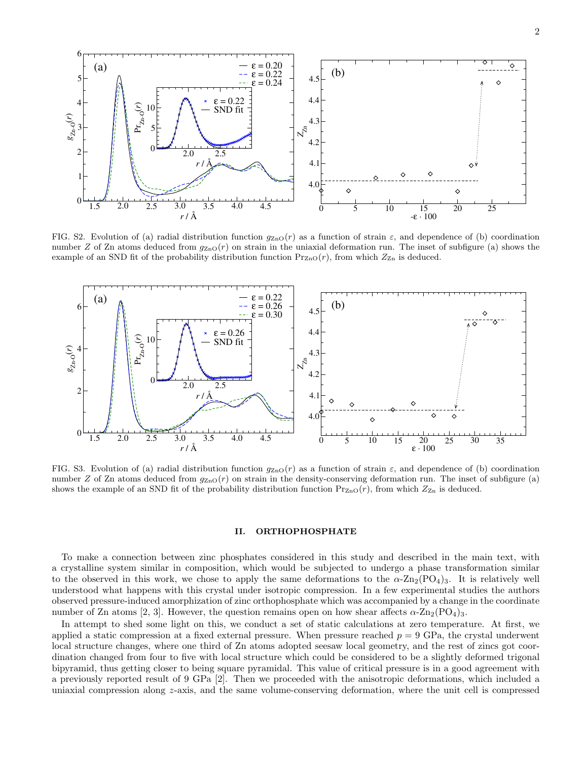

FIG. S2. Evolution of (a) radial distribution function  $g_{\text{ZnO}}(r)$  as a function of strain  $\varepsilon$ , and dependence of (b) coordination number Z of Zn atoms deduced from  $g_{\text{ZnO}}(r)$  on strain in the uniaxial deformation run. The inset of subfigure (a) shows the example of an SND fit of the probability distribution function  $Pr_{Z_{\text{D}}(r)}$ , from which  $Z_{Z_{\text{D}}}$  is deduced.



FIG. S3. Evolution of (a) radial distribution function  $g_{\text{ZnO}}(r)$  as a function of strain  $\varepsilon$ , and dependence of (b) coordination number Z of Zn atoms deduced from  $q_{\text{ZnO}}(r)$  on strain in the density-conserving deformation run. The inset of subfigure (a) shows the example of an SND fit of the probability distribution function  $Pr_{Z_{\text{D}}}(r)$ , from which  $Z_{Z_{\text{D}}}$  is deduced.

## II. ORTHOPHOSPHATE

To make a connection between zinc phosphates considered in this study and described in the main text, with a crystalline system similar in composition, which would be subjected to undergo a phase transformation similar to the observed in this work, we chose to apply the same deformations to the  $\alpha$ -Zn<sub>2</sub>(PO<sub>4</sub>)<sub>3</sub>. It is relatively well understood what happens with this crystal under isotropic compression. In a few experimental studies the authors observed pressure-induced amorphization of zinc orthophosphate which was accompanied by a change in the coordinate number of Zn atoms [2, 3]. However, the question remains open on how shear affects  $\alpha$ -Zn<sub>2</sub>(PO<sub>4</sub>)<sub>3</sub>.

In attempt to shed some light on this, we conduct a set of static calculations at zero temperature. At first, we applied a static compression at a fixed external pressure. When pressure reached  $p = 9$  GPa, the crystal underwent local structure changes, where one third of Zn atoms adopted seesaw local geometry, and the rest of zincs got coordination changed from four to five with local structure which could be considered to be a slightly deformed trigonal bipyramid, thus getting closer to being square pyramidal. This value of critical pressure is in a good agreement with a previously reported result of 9 GPa [2]. Then we proceeded with the anisotropic deformations, which included a uniaxial compression along z-axis, and the same volume-conserving deformation, where the unit cell is compressed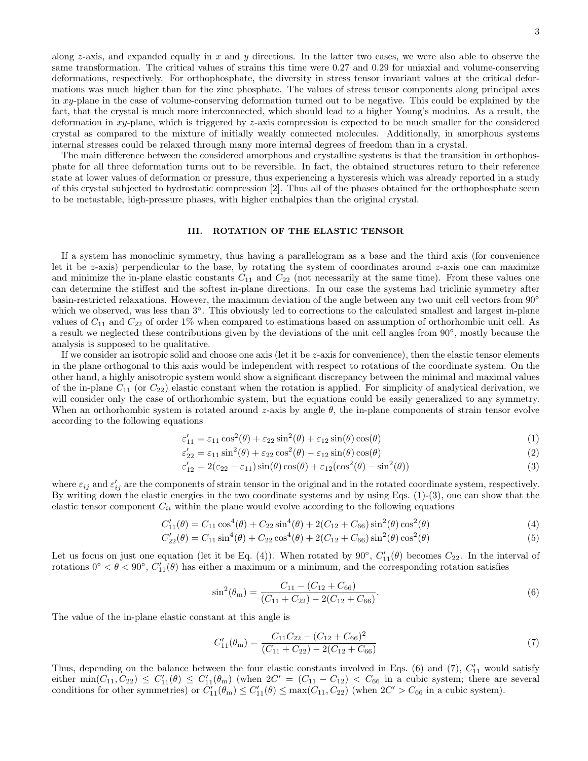along z-axis, and expanded equally in  $x$  and  $y$  directions. In the latter two cases, we were also able to observe the same transformation. The critical values of strains this time were 0.27 and 0.29 for uniaxial and volume-conserving deformations, respectively. For orthophosphate, the diversity in stress tensor invariant values at the critical deformations was much higher than for the zinc phosphate. The values of stress tensor components along principal axes in  $xy$ -plane in the case of volume-conserving deformation turned out to be negative. This could be explained by the fact, that the crystal is much more interconnected, which should lead to a higher Young's modulus. As a result, the deformation in  $xy$ -plane, which is triggered by z-axis compression is expected to be much smaller for the considered crystal as compared to the mixture of initially weakly connected molecules. Additionally, in amorphous systems internal stresses could be relaxed through many more internal degrees of freedom than in a crystal.

The main difference between the considered amorphous and crystalline systems is that the transition in orthophosphate for all three deformation turns out to be reversible. In fact, the obtained structures return to their reference state at lower values of deformation or pressure, thus experiencing a hysteresis which was already reported in a study of this crystal subjected to hydrostatic compression [2]. Thus all of the phases obtained for the orthophosphate seem to be metastable, high-pressure phases, with higher enthalpies than the original crystal.

## III. ROTATION OF THE ELASTIC TENSOR

If a system has monoclinic symmetry, thus having a parallelogram as a base and the third axis (for convenience let it be  $z$ -axis) perpendicular to the base, by rotating the system of coordinates around  $z$ -axis one can maximize and minimize the in-plane elastic constants  $C_{11}$  and  $C_{22}$  (not necessarily at the same time). From these values one can determine the stiffest and the softest in-plane directions. In our case the systems had triclinic symmetry after basin-restricted relaxations. However, the maximum deviation of the angle between any two unit cell vectors from 90◦ which we observed, was less than  $3°$ . This obviously led to corrections to the calculated smallest and largest in-plane values of  $C_{11}$  and  $C_{22}$  of order 1% when compared to estimations based on assumption of orthorhombic unit cell. As a result we neglected these contributions given by the deviations of the unit cell angles from 90°, mostly because the analysis is supposed to be qualitative.

If we consider an isotropic solid and choose one axis (let it be  $z$ -axis for convenience), then the elastic tensor elements in the plane orthogonal to this axis would be independent with respect to rotations of the coordinate system. On the other hand, a highly anisotropic system would show a significant discrepancy between the minimal and maximal values of the in-plane  $C_{11}$  (or  $C_{22}$ ) elastic constant when the rotation is applied. For simplicity of analytical derivation, we will consider only the case of orthorhombic system, but the equations could be easily generalized to any symmetry. When an orthorhombic system is rotated around z-axis by angle  $\theta$ , the in-plane components of strain tensor evolve according to the following equations

$$
\varepsilon'_{11} = \varepsilon_{11} \cos^2(\theta) + \varepsilon_{22} \sin^2(\theta) + \varepsilon_{12} \sin(\theta) \cos(\theta) \tag{1}
$$

$$
\varepsilon'_{22} = \varepsilon_{11} \sin^2(\theta) + \varepsilon_{22} \cos^2(\theta) - \varepsilon_{12} \sin(\theta) \cos(\theta) \tag{2}
$$

$$
\varepsilon'_{12} = 2(\varepsilon_{22} - \varepsilon_{11})\sin(\theta)\cos(\theta) + \varepsilon_{12}(\cos^2(\theta) - \sin^2(\theta))
$$
\n(3)

where  $\varepsilon_{ij}$  and  $\varepsilon'_{ij}$  are the components of strain tensor in the original and in the rotated coordinate system, respectively. By writing down the elastic energies in the two coordinate systems and by using Eqs. (1)-(3), one can show that the elastic tensor component  $C_{ii}$  within the plane would evolve according to the following equations

$$
C'_{11}(\theta) = C_{11} \cos^4(\theta) + C_{22} \sin^4(\theta) + 2(C_{12} + C_{66}) \sin^2(\theta) \cos^2(\theta)
$$
 (4)

$$
C'_{22}(\theta) = C_{11} \sin^4(\theta) + C_{22} \cos^4(\theta) + 2(C_{12} + C_{66}) \sin^2(\theta) \cos^2(\theta)
$$
\n(5)

Let us focus on just one equation (let it be Eq. (4)). When rotated by  $90^{\circ}$ ,  $C'_{11}(\theta)$  becomes  $C_{22}$ . In the interval of rotations  $0° < \theta < 90°$ ,  $C'_{11}(\theta)$  has either a maximum or a minimum, and the corresponding rotation satisfies

$$
\sin^2(\theta_m) = \frac{C_{11} - (C_{12} + C_{66})}{(C_{11} + C_{22}) - 2(C_{12} + C_{66})}.
$$
\n(6)

The value of the in-plane elastic constant at this angle is

$$
C'_{11}(\theta_{\rm m}) = \frac{C_{11}C_{22} - (C_{12} + C_{66})^2}{(C_{11} + C_{22}) - 2(C_{12} + C_{66})}
$$
\n
$$
\tag{7}
$$

Thus, depending on the balance between the four elastic constants involved in Eqs. (6) and (7),  $C'_{11}$  would satisfy either  $\min(C_{11}, C_{22}) \leq C'_{11}(\theta) \leq C'_{11}(\theta_m)$  (when  $2C' = (C_{11} - C_{12}) < C_{66}$  in a cubic system; there are several conditions for other symmetries) or  $C'_{11}(\theta_m) \leq C'_{11}(\theta) \leq \max(C_{11}, C_{22})$  (when  $2C' > C_{66}$  in a cubic system).